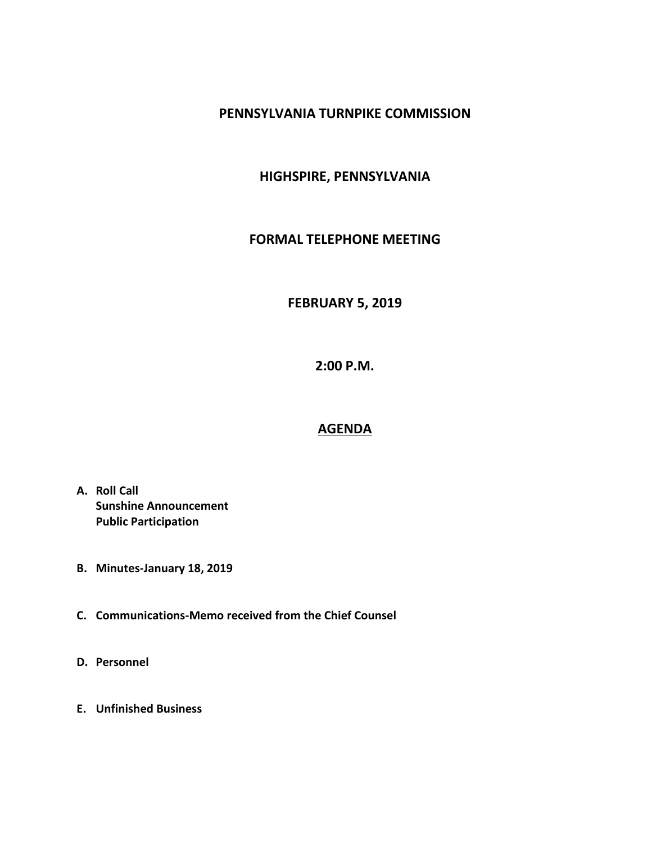#### **PENNSYLVANIA TURNPIKE COMMISSION**

## **HIGHSPIRE, PENNSYLVANIA**

#### **FORMAL TELEPHONE MEETING**

## **FEBRUARY 5, 2019**

**2:00 P.M.**

# **AGENDA**

- **A. Roll Call Sunshine Announcement Public Participation**
- **B. Minutes-January 18, 2019**
- **C. Communications-Memo received from the Chief Counsel**
- **D. Personnel**
- **E. Unfinished Business**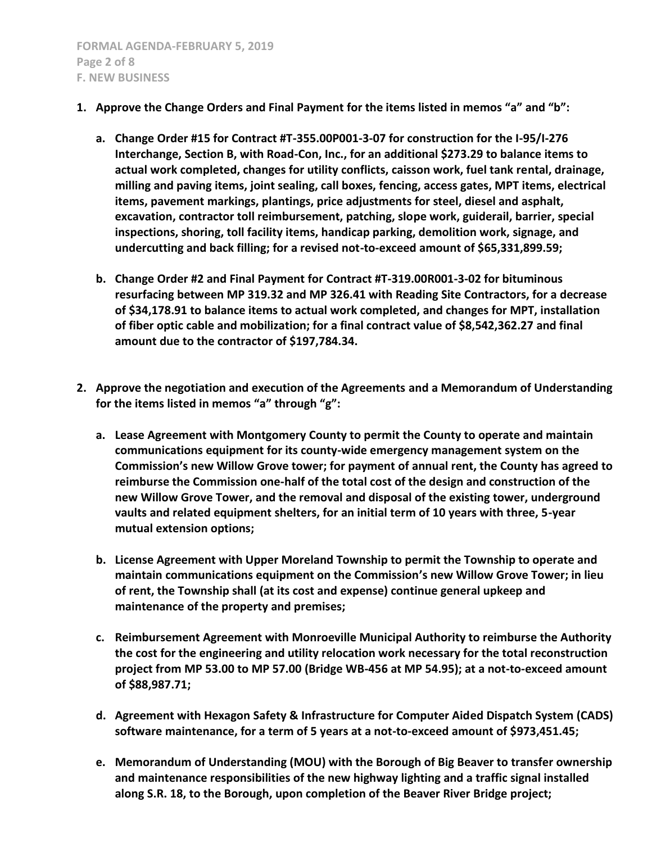- **1. Approve the Change Orders and Final Payment for the items listed in memos "a" and "b":**
	- **a. Change Order #15 for Contract #T-355.00P001-3-07 for construction for the I-95/I-276 Interchange, Section B, with Road-Con, Inc., for an additional \$273.29 to balance items to actual work completed, changes for utility conflicts, caisson work, fuel tank rental, drainage, milling and paving items, joint sealing, call boxes, fencing, access gates, MPT items, electrical items, pavement markings, plantings, price adjustments for steel, diesel and asphalt, excavation, contractor toll reimbursement, patching, slope work, guiderail, barrier, special inspections, shoring, toll facility items, handicap parking, demolition work, signage, and undercutting and back filling; for a revised not-to-exceed amount of \$65,331,899.59;**
	- **b. Change Order #2 and Final Payment for Contract #T-319.00R001-3-02 for bituminous resurfacing between MP 319.32 and MP 326.41 with Reading Site Contractors, for a decrease of \$34,178.91 to balance items to actual work completed, and changes for MPT, installation of fiber optic cable and mobilization; for a final contract value of \$8,542,362.27 and final amount due to the contractor of \$197,784.34.**
- **2. Approve the negotiation and execution of the Agreements and a Memorandum of Understanding for the items listed in memos "a" through "g":**
	- **a. Lease Agreement with Montgomery County to permit the County to operate and maintain communications equipment for its county-wide emergency management system on the Commission's new Willow Grove tower; for payment of annual rent, the County has agreed to reimburse the Commission one-half of the total cost of the design and construction of the new Willow Grove Tower, and the removal and disposal of the existing tower, underground vaults and related equipment shelters, for an initial term of 10 years with three, 5-year mutual extension options;**
	- **b. License Agreement with Upper Moreland Township to permit the Township to operate and maintain communications equipment on the Commission's new Willow Grove Tower; in lieu of rent, the Township shall (at its cost and expense) continue general upkeep and maintenance of the property and premises;**
	- **c. Reimbursement Agreement with Monroeville Municipal Authority to reimburse the Authority the cost for the engineering and utility relocation work necessary for the total reconstruction project from MP 53.00 to MP 57.00 (Bridge WB-456 at MP 54.95); at a not-to-exceed amount of \$88,987.71;**
	- **d. Agreement with Hexagon Safety & Infrastructure for Computer Aided Dispatch System (CADS) software maintenance, for a term of 5 years at a not-to-exceed amount of \$973,451.45;**
	- **e. Memorandum of Understanding (MOU) with the Borough of Big Beaver to transfer ownership and maintenance responsibilities of the new highway lighting and a traffic signal installed along S.R. 18, to the Borough, upon completion of the Beaver River Bridge project;**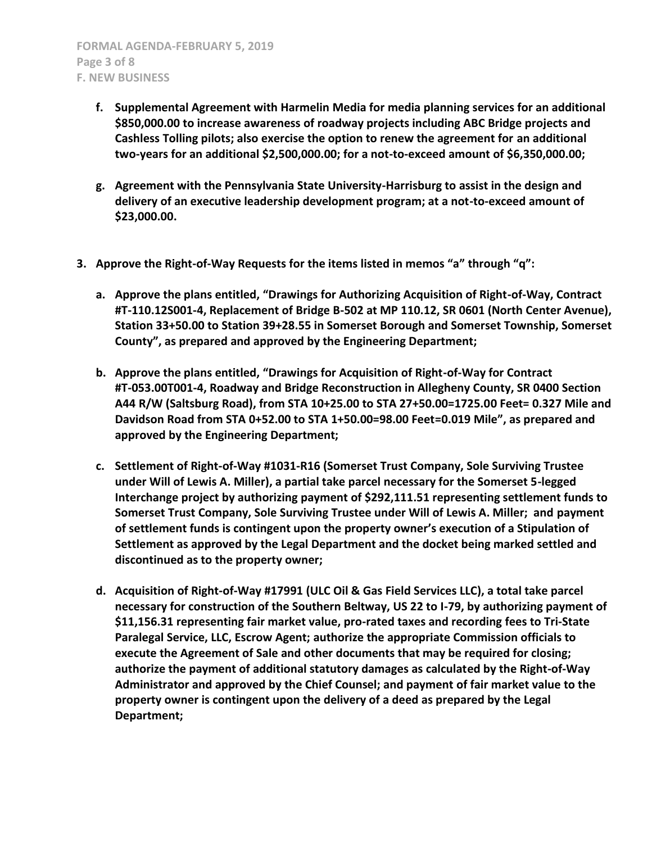- **f. Supplemental Agreement with Harmelin Media for media planning services for an additional \$850,000.00 to increase awareness of roadway projects including ABC Bridge projects and Cashless Tolling pilots; also exercise the option to renew the agreement for an additional two-years for an additional \$2,500,000.00; for a not-to-exceed amount of \$6,350,000.00;**
- **g. Agreement with the Pennsylvania State University-Harrisburg to assist in the design and delivery of an executive leadership development program; at a not-to-exceed amount of \$23,000.00.**
- **3. Approve the Right-of-Way Requests for the items listed in memos "a" through "q":**
	- **a. Approve the plans entitled, "Drawings for Authorizing Acquisition of Right-of-Way, Contract #T-110.12S001-4, Replacement of Bridge B-502 at MP 110.12, SR 0601 (North Center Avenue), Station 33+50.00 to Station 39+28.55 in Somerset Borough and Somerset Township, Somerset County", as prepared and approved by the Engineering Department;**
	- **b. Approve the plans entitled, "Drawings for Acquisition of Right-of-Way for Contract #T-053.00T001-4, Roadway and Bridge Reconstruction in Allegheny County, SR 0400 Section A44 R/W (Saltsburg Road), from STA 10+25.00 to STA 27+50.00=1725.00 Feet= 0.327 Mile and Davidson Road from STA 0+52.00 to STA 1+50.00=98.00 Feet=0.019 Mile", as prepared and approved by the Engineering Department;**
	- **c. Settlement of Right-of-Way #1031-R16 (Somerset Trust Company, Sole Surviving Trustee under Will of Lewis A. Miller), a partial take parcel necessary for the Somerset 5-legged Interchange project by authorizing payment of \$292,111.51 representing settlement funds to Somerset Trust Company, Sole Surviving Trustee under Will of Lewis A. Miller; and payment of settlement funds is contingent upon the property owner's execution of a Stipulation of Settlement as approved by the Legal Department and the docket being marked settled and discontinued as to the property owner;**
	- **d. Acquisition of Right-of-Way #17991 (ULC Oil & Gas Field Services LLC), a total take parcel necessary for construction of the Southern Beltway, US 22 to I-79, by authorizing payment of \$11,156.31 representing fair market value, pro-rated taxes and recording fees to Tri-State Paralegal Service, LLC, Escrow Agent; authorize the appropriate Commission officials to execute the Agreement of Sale and other documents that may be required for closing; authorize the payment of additional statutory damages as calculated by the Right-of-Way Administrator and approved by the Chief Counsel; and payment of fair market value to the property owner is contingent upon the delivery of a deed as prepared by the Legal Department;**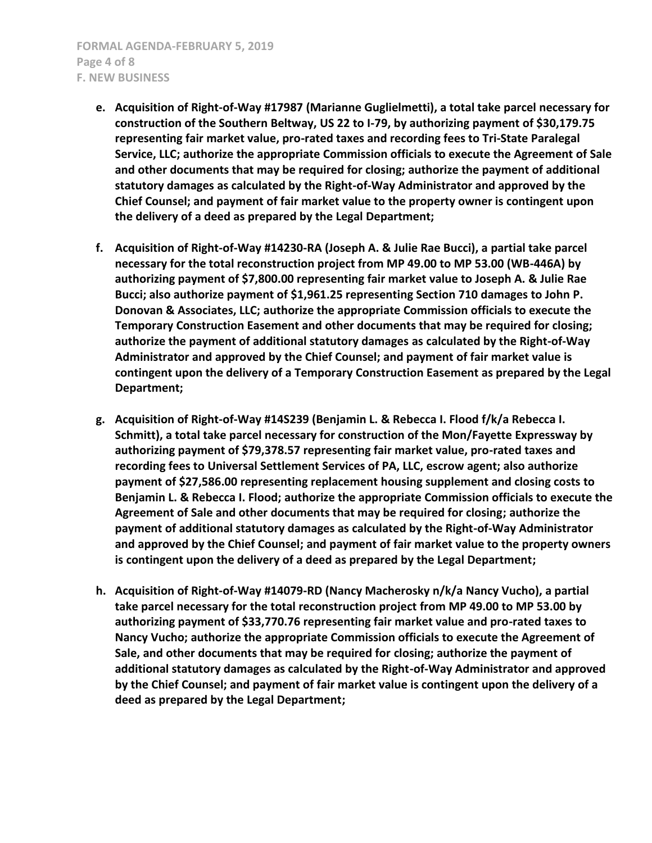**FORMAL AGENDA-FEBRUARY 5, 2019 Page 4 of 8 F. NEW BUSINESS**

- **e. Acquisition of Right-of-Way #17987 (Marianne Guglielmetti), a total take parcel necessary for construction of the Southern Beltway, US 22 to I-79, by authorizing payment of \$30,179.75 representing fair market value, pro-rated taxes and recording fees to Tri-State Paralegal Service, LLC; authorize the appropriate Commission officials to execute the Agreement of Sale and other documents that may be required for closing; authorize the payment of additional statutory damages as calculated by the Right-of-Way Administrator and approved by the Chief Counsel; and payment of fair market value to the property owner is contingent upon the delivery of a deed as prepared by the Legal Department;**
- **f. Acquisition of Right-of-Way #14230-RA (Joseph A. & Julie Rae Bucci), a partial take parcel necessary for the total reconstruction project from MP 49.00 to MP 53.00 (WB-446A) by authorizing payment of \$7,800.00 representing fair market value to Joseph A. & Julie Rae Bucci; also authorize payment of \$1,961.25 representing Section 710 damages to John P. Donovan & Associates, LLC; authorize the appropriate Commission officials to execute the Temporary Construction Easement and other documents that may be required for closing; authorize the payment of additional statutory damages as calculated by the Right-of-Way Administrator and approved by the Chief Counsel; and payment of fair market value is contingent upon the delivery of a Temporary Construction Easement as prepared by the Legal Department;**
- **g. Acquisition of Right-of-Way #14S239 (Benjamin L. & Rebecca I. Flood f/k/a Rebecca I. Schmitt), a total take parcel necessary for construction of the Mon/Fayette Expressway by authorizing payment of \$79,378.57 representing fair market value, pro-rated taxes and recording fees to Universal Settlement Services of PA, LLC, escrow agent; also authorize payment of \$27,586.00 representing replacement housing supplement and closing costs to Benjamin L. & Rebecca I. Flood; authorize the appropriate Commission officials to execute the Agreement of Sale and other documents that may be required for closing; authorize the payment of additional statutory damages as calculated by the Right-of-Way Administrator and approved by the Chief Counsel; and payment of fair market value to the property owners is contingent upon the delivery of a deed as prepared by the Legal Department;**
- **h. Acquisition of Right-of-Way #14079-RD (Nancy Macherosky n/k/a Nancy Vucho), a partial take parcel necessary for the total reconstruction project from MP 49.00 to MP 53.00 by authorizing payment of \$33,770.76 representing fair market value and pro-rated taxes to Nancy Vucho; authorize the appropriate Commission officials to execute the Agreement of Sale, and other documents that may be required for closing; authorize the payment of additional statutory damages as calculated by the Right-of-Way Administrator and approved by the Chief Counsel; and payment of fair market value is contingent upon the delivery of a deed as prepared by the Legal Department;**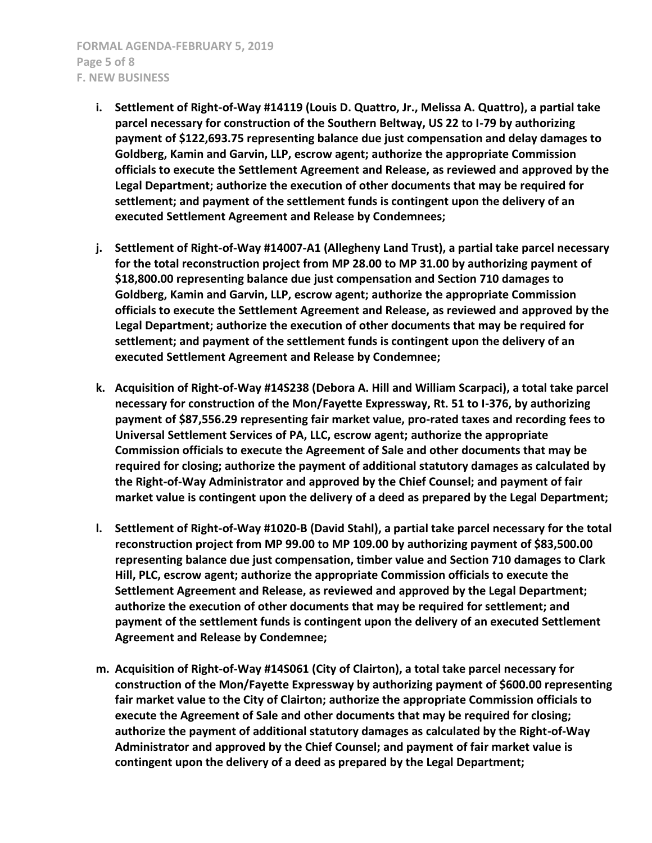- **i. Settlement of Right-of-Way #14119 (Louis D. Quattro, Jr., Melissa A. Quattro), a partial take parcel necessary for construction of the Southern Beltway, US 22 to I-79 by authorizing payment of \$122,693.75 representing balance due just compensation and delay damages to Goldberg, Kamin and Garvin, LLP, escrow agent; authorize the appropriate Commission officials to execute the Settlement Agreement and Release, as reviewed and approved by the Legal Department; authorize the execution of other documents that may be required for settlement; and payment of the settlement funds is contingent upon the delivery of an executed Settlement Agreement and Release by Condemnees;**
- **j. Settlement of Right-of-Way #14007-A1 (Allegheny Land Trust), a partial take parcel necessary for the total reconstruction project from MP 28.00 to MP 31.00 by authorizing payment of \$18,800.00 representing balance due just compensation and Section 710 damages to Goldberg, Kamin and Garvin, LLP, escrow agent; authorize the appropriate Commission officials to execute the Settlement Agreement and Release, as reviewed and approved by the Legal Department; authorize the execution of other documents that may be required for settlement; and payment of the settlement funds is contingent upon the delivery of an executed Settlement Agreement and Release by Condemnee;**
- **k. Acquisition of Right-of-Way #14S238 (Debora A. Hill and William Scarpaci), a total take parcel necessary for construction of the Mon/Fayette Expressway, Rt. 51 to I-376, by authorizing payment of \$87,556.29 representing fair market value, pro-rated taxes and recording fees to Universal Settlement Services of PA, LLC, escrow agent; authorize the appropriate Commission officials to execute the Agreement of Sale and other documents that may be required for closing; authorize the payment of additional statutory damages as calculated by the Right-of-Way Administrator and approved by the Chief Counsel; and payment of fair market value is contingent upon the delivery of a deed as prepared by the Legal Department;**
- **l. Settlement of Right-of-Way #1020-B (David Stahl), a partial take parcel necessary for the total reconstruction project from MP 99.00 to MP 109.00 by authorizing payment of \$83,500.00 representing balance due just compensation, timber value and Section 710 damages to Clark Hill, PLC, escrow agent; authorize the appropriate Commission officials to execute the Settlement Agreement and Release, as reviewed and approved by the Legal Department; authorize the execution of other documents that may be required for settlement; and payment of the settlement funds is contingent upon the delivery of an executed Settlement Agreement and Release by Condemnee;**
- **m. Acquisition of Right-of-Way #14S061 (City of Clairton), a total take parcel necessary for construction of the Mon/Fayette Expressway by authorizing payment of \$600.00 representing fair market value to the City of Clairton; authorize the appropriate Commission officials to execute the Agreement of Sale and other documents that may be required for closing; authorize the payment of additional statutory damages as calculated by the Right-of-Way Administrator and approved by the Chief Counsel; and payment of fair market value is contingent upon the delivery of a deed as prepared by the Legal Department;**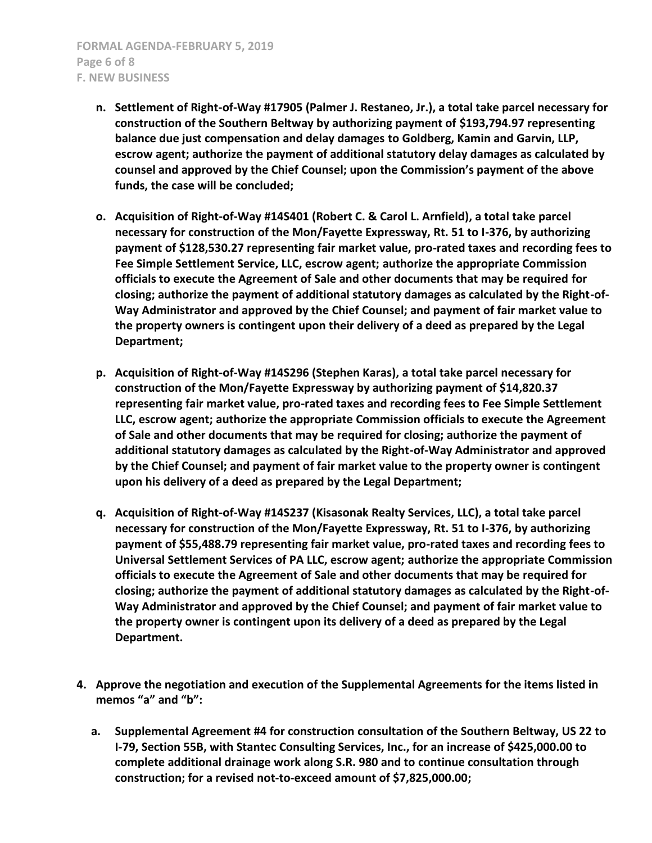**FORMAL AGENDA-FEBRUARY 5, 2019 Page 6 of 8 F. NEW BUSINESS**

- **n. Settlement of Right-of-Way #17905 (Palmer J. Restaneo, Jr.), a total take parcel necessary for construction of the Southern Beltway by authorizing payment of \$193,794.97 representing balance due just compensation and delay damages to Goldberg, Kamin and Garvin, LLP, escrow agent; authorize the payment of additional statutory delay damages as calculated by counsel and approved by the Chief Counsel; upon the Commission's payment of the above funds, the case will be concluded;**
- **o. Acquisition of Right-of-Way #14S401 (Robert C. & Carol L. Arnfield), a total take parcel necessary for construction of the Mon/Fayette Expressway, Rt. 51 to I-376, by authorizing payment of \$128,530.27 representing fair market value, pro-rated taxes and recording fees to Fee Simple Settlement Service, LLC, escrow agent; authorize the appropriate Commission officials to execute the Agreement of Sale and other documents that may be required for closing; authorize the payment of additional statutory damages as calculated by the Right-of-Way Administrator and approved by the Chief Counsel; and payment of fair market value to the property owners is contingent upon their delivery of a deed as prepared by the Legal Department;**
- **p. Acquisition of Right-of-Way #14S296 (Stephen Karas), a total take parcel necessary for construction of the Mon/Fayette Expressway by authorizing payment of \$14,820.37 representing fair market value, pro-rated taxes and recording fees to Fee Simple Settlement LLC, escrow agent; authorize the appropriate Commission officials to execute the Agreement of Sale and other documents that may be required for closing; authorize the payment of additional statutory damages as calculated by the Right-of-Way Administrator and approved by the Chief Counsel; and payment of fair market value to the property owner is contingent upon his delivery of a deed as prepared by the Legal Department;**
- **q. Acquisition of Right-of-Way #14S237 (Kisasonak Realty Services, LLC), a total take parcel necessary for construction of the Mon/Fayette Expressway, Rt. 51 to I-376, by authorizing payment of \$55,488.79 representing fair market value, pro-rated taxes and recording fees to Universal Settlement Services of PA LLC, escrow agent; authorize the appropriate Commission officials to execute the Agreement of Sale and other documents that may be required for closing; authorize the payment of additional statutory damages as calculated by the Right-of-Way Administrator and approved by the Chief Counsel; and payment of fair market value to the property owner is contingent upon its delivery of a deed as prepared by the Legal Department.**
- **4. Approve the negotiation and execution of the Supplemental Agreements for the items listed in memos "a" and "b":**
	- **a. Supplemental Agreement #4 for construction consultation of the Southern Beltway, US 22 to I-79, Section 55B, with Stantec Consulting Services, Inc., for an increase of \$425,000.00 to complete additional drainage work along S.R. 980 and to continue consultation through construction; for a revised not-to-exceed amount of \$7,825,000.00;**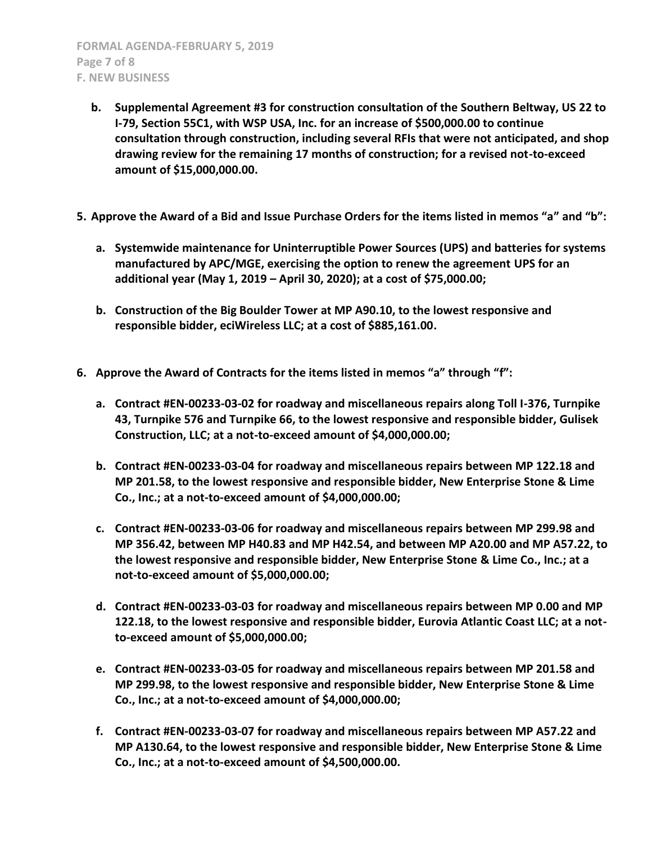- **b. Supplemental Agreement #3 for construction consultation of the Southern Beltway, US 22 to I-79, Section 55C1, with WSP USA, Inc. for an increase of \$500,000.00 to continue consultation through construction, including several RFIs that were not anticipated, and shop drawing review for the remaining 17 months of construction; for a revised not-to-exceed amount of \$15,000,000.00.**
- **5. Approve the Award of a Bid and Issue Purchase Orders for the items listed in memos "a" and "b":**
	- **a. Systemwide maintenance for Uninterruptible Power Sources (UPS) and batteries for systems manufactured by APC/MGE, exercising the option to renew the agreement UPS for an additional year (May 1, 2019 – April 30, 2020); at a cost of \$75,000.00;**
	- **b. Construction of the Big Boulder Tower at MP A90.10, to the lowest responsive and responsible bidder, eciWireless LLC; at a cost of \$885,161.00.**
- **6. Approve the Award of Contracts for the items listed in memos "a" through "f":**
	- **a. Contract #EN-00233-03-02 for roadway and miscellaneous repairs along Toll I-376, Turnpike 43, Turnpike 576 and Turnpike 66, to the lowest responsive and responsible bidder, Gulisek Construction, LLC; at a not-to-exceed amount of \$4,000,000.00;**
	- **b. Contract #EN-00233-03-04 for roadway and miscellaneous repairs between MP 122.18 and MP 201.58, to the lowest responsive and responsible bidder, New Enterprise Stone & Lime Co., Inc.; at a not-to-exceed amount of \$4,000,000.00;**
	- **c. Contract #EN-00233-03-06 for roadway and miscellaneous repairs between MP 299.98 and MP 356.42, between MP H40.83 and MP H42.54, and between MP A20.00 and MP A57.22, to the lowest responsive and responsible bidder, New Enterprise Stone & Lime Co., Inc.; at a not-to-exceed amount of \$5,000,000.00;**
	- **d. Contract #EN-00233-03-03 for roadway and miscellaneous repairs between MP 0.00 and MP 122.18, to the lowest responsive and responsible bidder, Eurovia Atlantic Coast LLC; at a notto-exceed amount of \$5,000,000.00;**
	- **e. Contract #EN-00233-03-05 for roadway and miscellaneous repairs between MP 201.58 and MP 299.98, to the lowest responsive and responsible bidder, New Enterprise Stone & Lime Co., Inc.; at a not-to-exceed amount of \$4,000,000.00;**
	- **f. Contract #EN-00233-03-07 for roadway and miscellaneous repairs between MP A57.22 and MP A130.64, to the lowest responsive and responsible bidder, New Enterprise Stone & Lime Co., Inc.; at a not-to-exceed amount of \$4,500,000.00.**